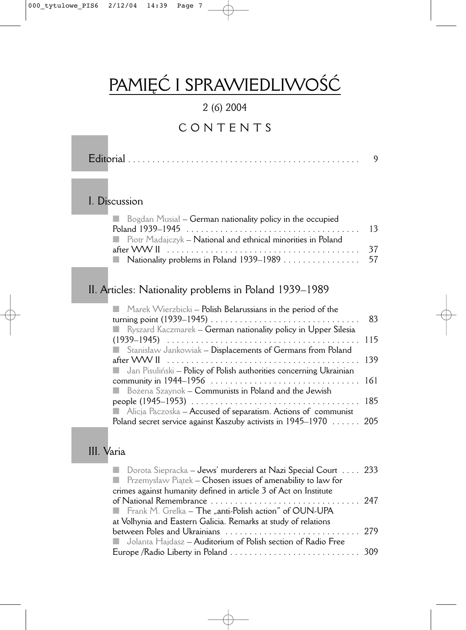# PAMIĘĆ I SPRAWIEDLIWOŚĆ

### 2 (6) 2004

## CONTENTS

|--|--|--|--|--|--|--|--|--|--|--|--|--|--|--|--|--|--|--|--|--|--|--|--|--|--|--|--|--|--|--|--|--|--|--|--|--|--|--|--|

#### I. Discussion

| $\Box$ Bogdan Musial – German nationality policy in the occupied |  |
|------------------------------------------------------------------|--|
|                                                                  |  |
| Piotr Madajczyk – National and ethnical minorities in Poland     |  |
|                                                                  |  |
|                                                                  |  |

### II. Articles: Nationality problems in Poland 1939–1989

| Marek Wierzbicki - Polish Belarussians in the period of the                                                                                                                                                                        |    |
|------------------------------------------------------------------------------------------------------------------------------------------------------------------------------------------------------------------------------------|----|
|                                                                                                                                                                                                                                    | 83 |
| <b>Notai</b> Ryszard Kaczmarek – German nationality policy in Upper Silesia                                                                                                                                                        |    |
|                                                                                                                                                                                                                                    |    |
| Stanisław Jankowiak - Displacements of Germans from Poland                                                                                                                                                                         |    |
|                                                                                                                                                                                                                                    |    |
| <b>Lange Studion Studion Studion Studion</b> Jan Pisulin's Jan Pisulin's Jan Pisulin's Jan Pisulin's Jan Pisulin's Jan Pisulin's Jan Pisulin's Jan Pisulin's Jan Pisulin's Jan Pisulin's Jan Pisulin's Jan Pisulin's Jan Pisulin's |    |
|                                                                                                                                                                                                                                    |    |
| Bożena Szaynok – Communists in Poland and the Jewish                                                                                                                                                                               |    |
|                                                                                                                                                                                                                                    |    |
| Alicja Paczoska – Accused of separatism. Actions of communist                                                                                                                                                                      |    |
| Poland secret service against Kaszuby activists in 1945–1970 205                                                                                                                                                                   |    |

#### III. Varia

| Dorota Siepracka – Jews' murderers at Nazi Special Court  233          |  |
|------------------------------------------------------------------------|--|
| <b>The Przemyslaw Piatek – Chosen issues of amenability to law for</b> |  |
| crimes against humanity defined in article 3 of Act on Institute       |  |
|                                                                        |  |
| Frank M. Grelka – The "anti-Polish action" of OUN-UPA                  |  |
| at Volhynia and Eastern Galicia. Remarks at study of relations         |  |
|                                                                        |  |
| <b>I.</b> Jolanta Hajdasz – Auditorium of Polish section of Radio Free |  |
|                                                                        |  |
|                                                                        |  |